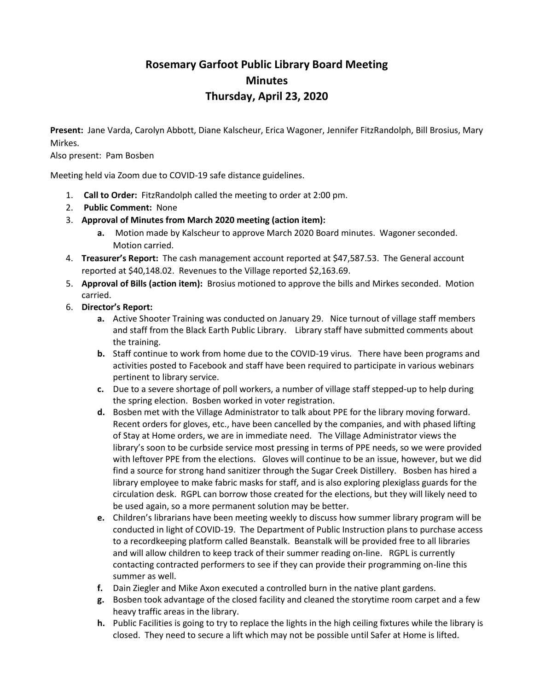# **Rosemary Garfoot Public Library Board Meeting Minutes Thursday, April 23, 2020**

**Present:** Jane Varda, Carolyn Abbott, Diane Kalscheur, Erica Wagoner, Jennifer FitzRandolph, Bill Brosius, Mary Mirkes.

Also present: Pam Bosben

Meeting held via Zoom due to COVID-19 safe distance guidelines.

- 1. **Call to Order:** FitzRandolph called the meeting to order at 2:00 pm.
- 2. **Public Comment:** None
- 3. **Approval of Minutes from March 2020 meeting (action item):**
	- **a.** Motion made by Kalscheur to approve March 2020 Board minutes. Wagoner seconded. Motion carried.
- 4. **Treasurer's Report:** The cash management account reported at \$47,587.53. The General account reported at \$40,148.02. Revenues to the Village reported \$2,163.69.
- 5. **Approval of Bills (action item):** Brosius motioned to approve the bills and Mirkes seconded. Motion carried.
- 6. **Director's Report:**
	- **a.** Active Shooter Training was conducted on January 29. Nice turnout of village staff members and staff from the Black Earth Public Library. Library staff have submitted comments about the training.
	- **b.** Staff continue to work from home due to the COVID-19 virus. There have been programs and activities posted to Facebook and staff have been required to participate in various webinars pertinent to library service.
	- **c.** Due to a severe shortage of poll workers, a number of village staff stepped-up to help during the spring election. Bosben worked in voter registration.
	- **d.** Bosben met with the Village Administrator to talk about PPE for the library moving forward. Recent orders for gloves, etc., have been cancelled by the companies, and with phased lifting of Stay at Home orders, we are in immediate need. The Village Administrator views the library's soon to be curbside service most pressing in terms of PPE needs, so we were provided with leftover PPE from the elections. Gloves will continue to be an issue, however, but we did find a source for strong hand sanitizer through the Sugar Creek Distillery. Bosben has hired a library employee to make fabric masks for staff, and is also exploring plexiglass guards for the circulation desk. RGPL can borrow those created for the elections, but they will likely need to be used again, so a more permanent solution may be better.
	- **e.** Children's librarians have been meeting weekly to discuss how summer library program will be conducted in light of COVID-19. The Department of Public Instruction plans to purchase access to a recordkeeping platform called Beanstalk. Beanstalk will be provided free to all libraries and will allow children to keep track of their summer reading on-line. RGPL is currently contacting contracted performers to see if they can provide their programming on-line this summer as well.
	- **f.** Dain Ziegler and Mike Axon executed a controlled burn in the native plant gardens.
	- **g.** Bosben took advantage of the closed facility and cleaned the storytime room carpet and a few heavy traffic areas in the library.
	- **h.** Public Facilities is going to try to replace the lights in the high ceiling fixtures while the library is closed. They need to secure a lift which may not be possible until Safer at Home is lifted.